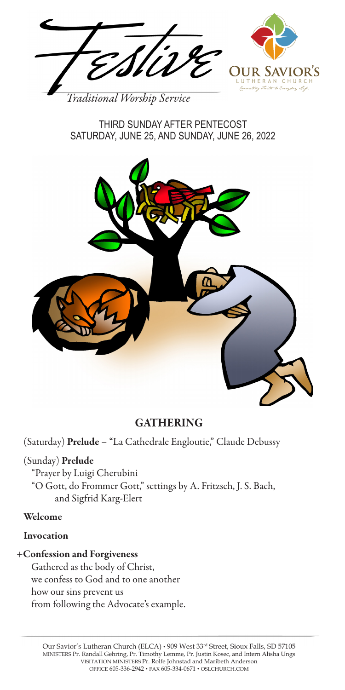

*Traditional Worship Service*

## THIRD SUNDAY AFTER PENTECOST SATURDAY, JUNE 25, AND SUNDAY, JUNE 26, 2022



# **GATHERING**

(Saturday) Prelude – "La Cathedrale Engloutie," Claude Debussy

## (Sunday) Prelude

"Prayer by Luigi Cherubini

 "O Gott, do Frommer Gott," settings by A. Fritzsch, J. S. Bach, and Sigfrid Karg-Elert

## Welcome

## Invocation

## +Confession and Forgiveness

Gathered as the body of Christ, we confess to God and to one another how our sins prevent us from following the Advocate's example.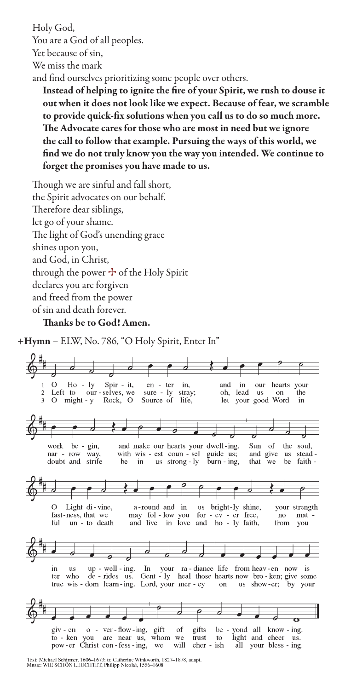Holy God, You are a God of all peoples. Yet because of sin, We miss the mark and find ourselves prioritizing some people over others.

Instead of helping to ignite the fire of your Spirit, we rush to douse it out when it does not look like we expect. Because of fear, we scramble to provide quick-fix solutions when you call us to do so much more. The Advocate cares for those who are most in need but we ignore the call to follow that example. Pursuing the ways of this world, we find we do not truly know you the way you intended. We continue to forget the promises you have made to us.

Though we are sinful and fall short, the Spirit advocates on our behalf. Therefore dear siblings, let go of your shame. The light of God's unending grace shines upon you, and God, in Christ, through the power  $+$  of the Holy Spirit declares you are forgiven and freed from the power of sin and death forever.

### Thanks be to God! Amen.

+Hymn – ELW, No. 786, "O Holy Spirit, Enter In"

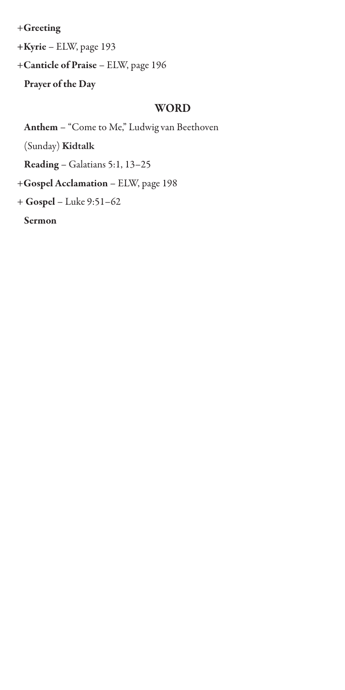+Greeting

- +Kyrie ELW, page 193
- +Canticle of Praise ELW, page 196

Prayer of the Day

### WORD

Anthem – "Come to Me," Ludwig van Beethoven (Sunday) **Kidtalk** Reading – Galatians 5:1, 13–25 +Gospel Acclamation – ELW, page 198 + Gospel – Luke 9:51–62

Sermon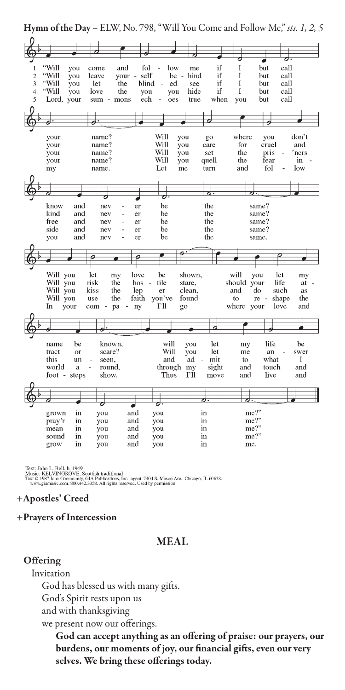

Text: John L. Bell, b. 1949<br>Music: KELVINGROVE, Scottish traditional<br>Text © 1987 Iona Community, GIA Publications, Inc., agent. 7404 S. Mason Ave., Chicago, IL 60638.<br>Text © 1987 Iona Community, GIA Publications, Inc., age

### +Apostles' Creed

#### +Prayers of Intercession

### MEAL

### **Offering**

Invitation

God has blessed us with many gifts.

God's Spirit rests upon us

and with thanksgiving

we present now our offerings.

God can accept anything as an offering of praise: our prayers, our burdens, our moments of joy, our financial gifts, even our very selves. We bring these offerings today.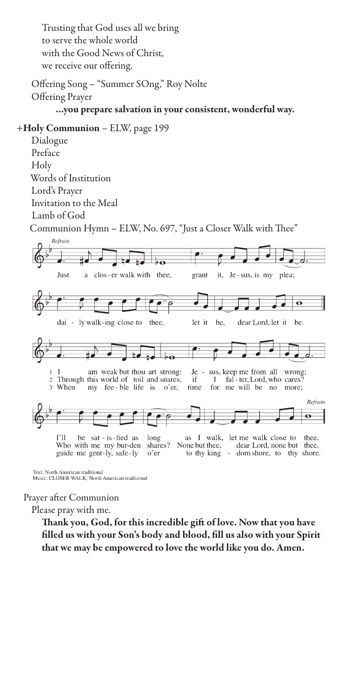Trusting that God uses all we bring to serve the whole world with the Good News of Christ, we receive our offering.

 Offering Song – "Summer SOng," Roy Nolte Offering Prayer

...you prepare salvation in your consistent, wonderful way.

### +Holy Communion – ELW, page 199

 Dialogue Preface Holy Words of Institution Lord's Prayer Invitation to the Meal Lamb of God Communion Hymn – ELW, No. 697, "Just a Closer Walk with Thee" Refrain Ь Just a clos-er walk with thee, it, Je-sus, is my plea; grant  $\ddot{\mathbf{o}}$ dai - ly walk-ing close to thee, let it be, dear Lord, let it be. am weak but thou art strong: Je - sus, keep me from all wrong; Through this world of toil and snares, fal - ter, Lord, who cares?  $\overline{c}$ if  $\bf{I}$ 3 When time for me will be no my fee-ble life is o'er, more: Refrain  $\overline{\mathbf{o}}$ be sat - is - fied as long as I walk, let me walk close to ГШ thee. Who with me my bur-den shares? None but thee, dear Lord, none but thee. to thy king - dom shore, to thy shore. guide me gent-ly, safe-ly o'er

Text: North American traditional Music: CLOSER WALK, North American traditional

Prayer after Communion

Please pray with me.

Thank you, God, for this incredible gift of love. Now that you have filled us with your Son's body and blood, fill us also with your Spirit that we may be empowered to love the world like you do. Amen.